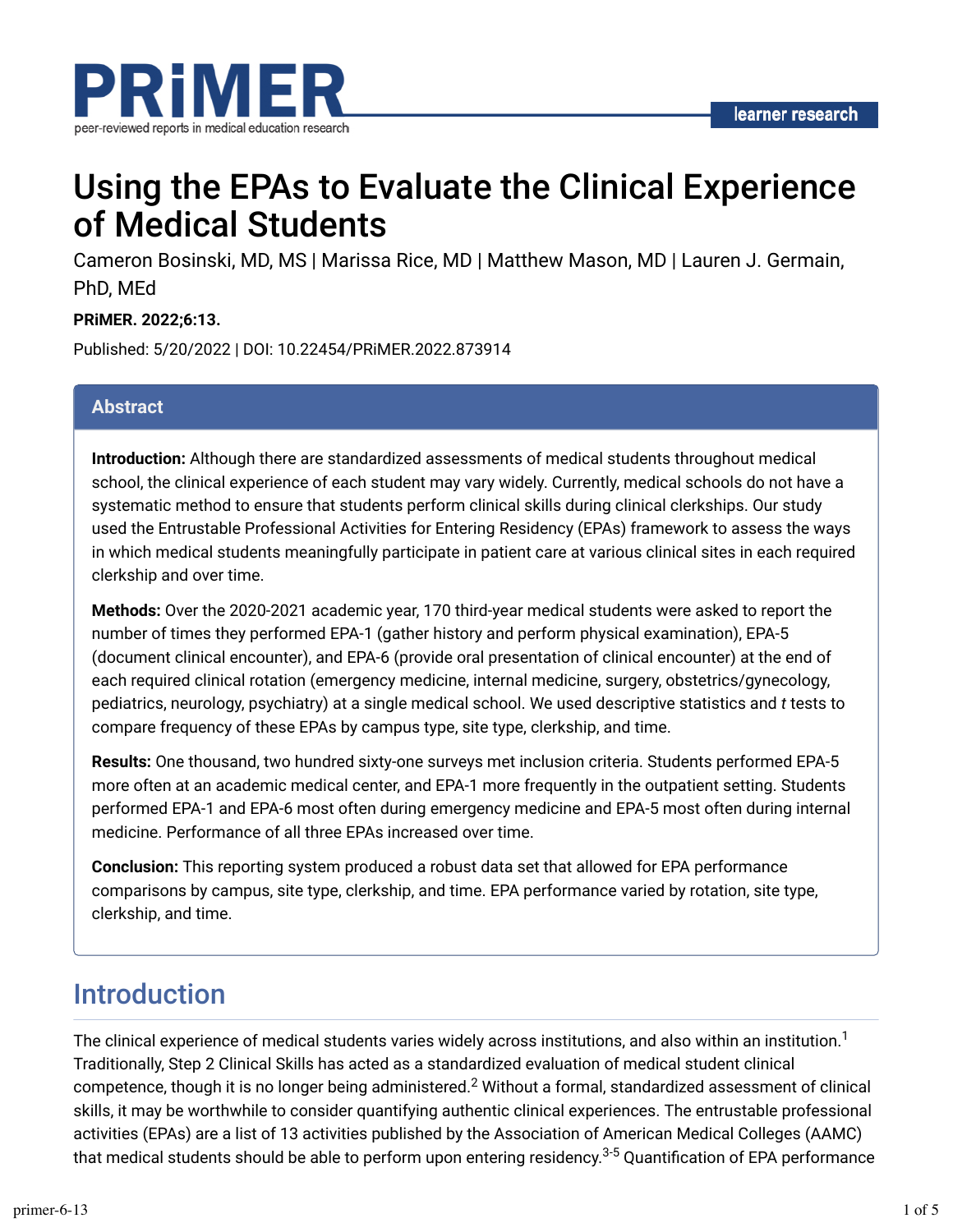

# Using the EPAs to Evaluate the Clinical Experience of Medical Students

Cameron Bosinski, MD, MS | Marissa Rice, MD | Matthew Mason, MD | Lauren J. Germain, PhD, MEd

#### **PRiMER. 2022;6:13.**

Published: 5/20/2022 | DOI: 10.22454/PRiMER.2022.873914

#### **Abstract**

**Introduction:** Although there are standardized assessments of medical students throughout medical school, the clinical experience of each student may vary widely. Currently, medical schools do not have a systematic method to ensure that students perform clinical skills during clinical clerkships. Our study used the Entrustable Professional Activities for Entering Residency (EPAs) framework to assess the ways in which medical students meaningfully participate in patient care at various clinical sites in each required clerkship and over time.

**Methods:** Over the 2020-2021 academic year, 170 third-year medical students were asked to report the number of times they performed EPA-1 (gather history and perform physical examination), EPA-5 (document clinical encounter), and EPA-6 (provide oral presentation of clinical encounter) at the end of each required clinical rotation (emergency medicine, internal medicine, surgery, obstetrics/gynecology, pediatrics, neurology, psychiatry) at a single medical school. We used descriptive statistics and *t* tests to compare frequency of these EPAs by campus type, site type, clerkship, and time.

**Results:** One thousand, two hundred sixty-one surveys met inclusion criteria. Students performed EPA-5 more often at an academic medical center, and EPA-1 more frequently in the outpatient setting. Students performed EPA-1 and EPA-6 most often during emergency medicine and EPA-5 most often during internal medicine. Performance of all three EPAs increased over time.

**Conclusion:** This reporting system produced a robust data set that allowed for EPA performance comparisons by campus, site type, clerkship, and time. EPA performance varied by rotation, site type, clerkship, and time.

### Introduction

The clinical experience of medical students varies widely across institutions, and also within an institution. $^{\text{1}}$ Traditionally, Step 2 Clinical Skills has acted as a standardized evaluation of medical student clinical competence, though it is no longer being administered. $^2$  Without a formal, standardized assessment of clinical skills, it may be worthwhile to consider quantifying authentic clinical experiences. The entrustable professional activities (EPAs) are a list of 13 activities published by the Association of American Medical Colleges (AAMC) that medical students should be able to perform upon entering residency.<sup>3-5</sup> Quantification of EPA performance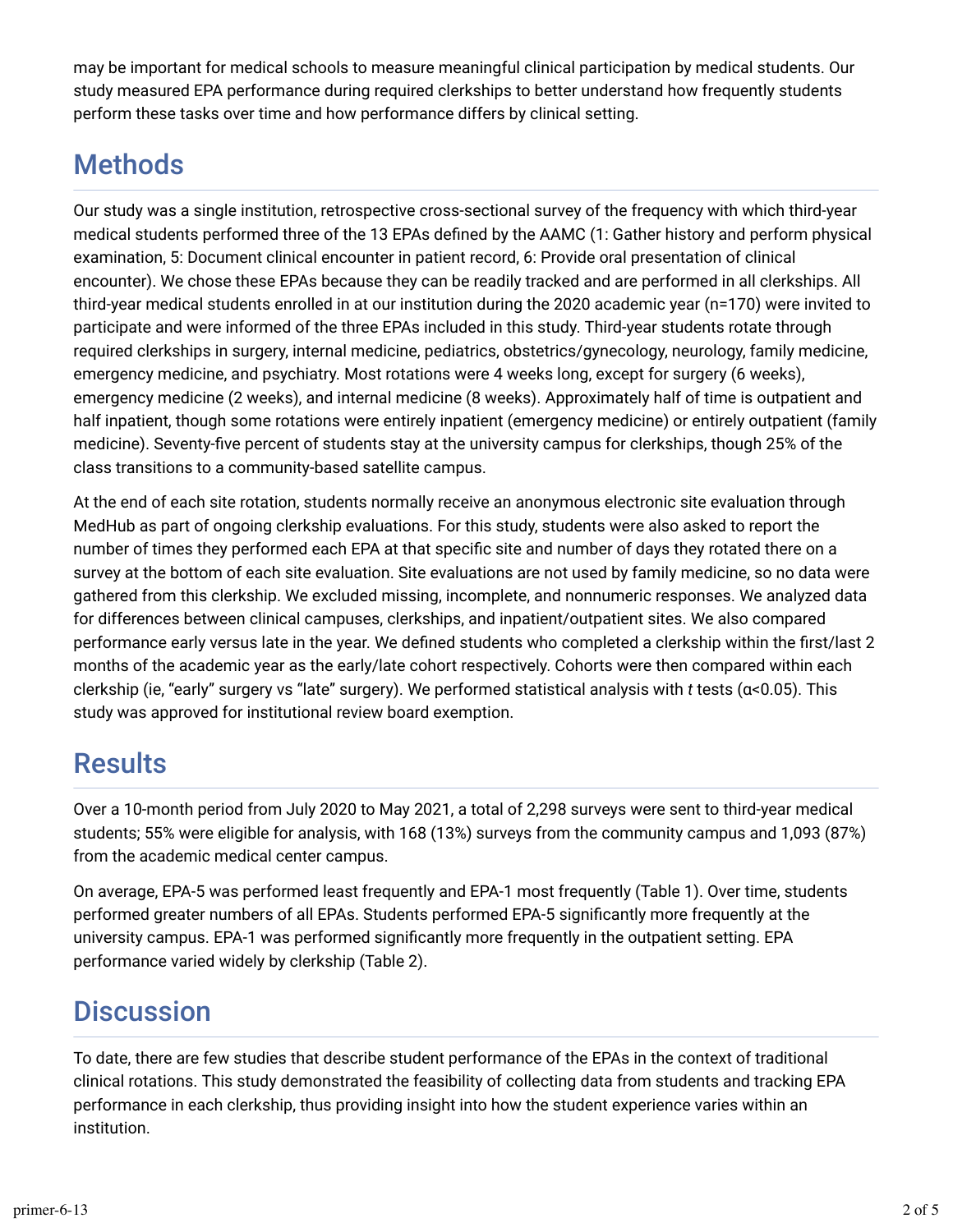may be important for medical schools to measure meaningful clinical participation by medical students. Our study measured EPA performance during required clerkships to better understand how frequently students perform these tasks over time and how performance differs by clinical setting.

## **Methods**

Our study was a single institution, retrospective cross-sectional survey of the frequency with which third-year medical students performed three of the 13 EPAs defined by the AAMC (1: Gather history and perform physical examination, 5: Document clinical encounter in patient record, 6: Provide oral presentation of clinical encounter). We chose these EPAs because they can be readily tracked and are performed in all clerkships. All third-year medical students enrolled in at our institution during the 2020 academic year (n=170) were invited to participate and were informed of the three EPAs included in this study. Third-year students rotate through required clerkships in surgery, internal medicine, pediatrics, obstetrics/gynecology, neurology, family medicine, emergency medicine, and psychiatry. Most rotations were 4 weeks long, except for surgery (6 weeks), emergency medicine (2 weeks), and internal medicine (8 weeks). Approximately half of time is outpatient and half inpatient, though some rotations were entirely inpatient (emergency medicine) or entirely outpatient (family medicine). Seventy-five percent of students stay at the university campus for clerkships, though 25% of the class transitions to a community-based satellite campus.

At the end of each site rotation, students normally receive an anonymous electronic site evaluation through MedHub as part of ongoing clerkship evaluations. For this study, students were also asked to report the number of times they performed each EPA at that specific site and number of days they rotated there on a survey at the bottom of each site evaluation. Site evaluations are not used by family medicine, so no data were gathered from this clerkship. We excluded missing, incomplete, and nonnumeric responses. We analyzed data for differences between clinical campuses, clerkships, and inpatient/outpatient sites. We also compared performance early versus late in the year. We defined students who completed a clerkship within the first/last 2 months of the academic year as the early/late cohort respectively. Cohorts were then compared within each clerkship (ie, "early" surgery vs "late" surgery). We performed statistical analysis with *t* tests (α<0.05). This study was approved for institutional review board exemption.

### **Results**

Over a 10-month period from July 2020 to May 2021, a total of 2,298 surveys were sent to third-year medical students; 55% were eligible for analysis, with 168 (13%) surveys from the community campus and 1,093 (87%) from the academic medical center campus.

On average, EPA-5 was performed least frequently and EPA-1 most frequently (Table 1). Over time, students performed greater numbers of all EPAs. Students performed EPA-5 significantly more frequently at the university campus. EPA-1 was performed significantly more frequently in the outpatient setting. EPA performance varied widely by clerkship (Table 2).

### **Discussion**

To date, there are few studies that describe student performance of the EPAs in the context of traditional clinical rotations. This study demonstrated the feasibility of collecting data from students and tracking EPA performance in each clerkship, thus providing insight into how the student experience varies within an institution.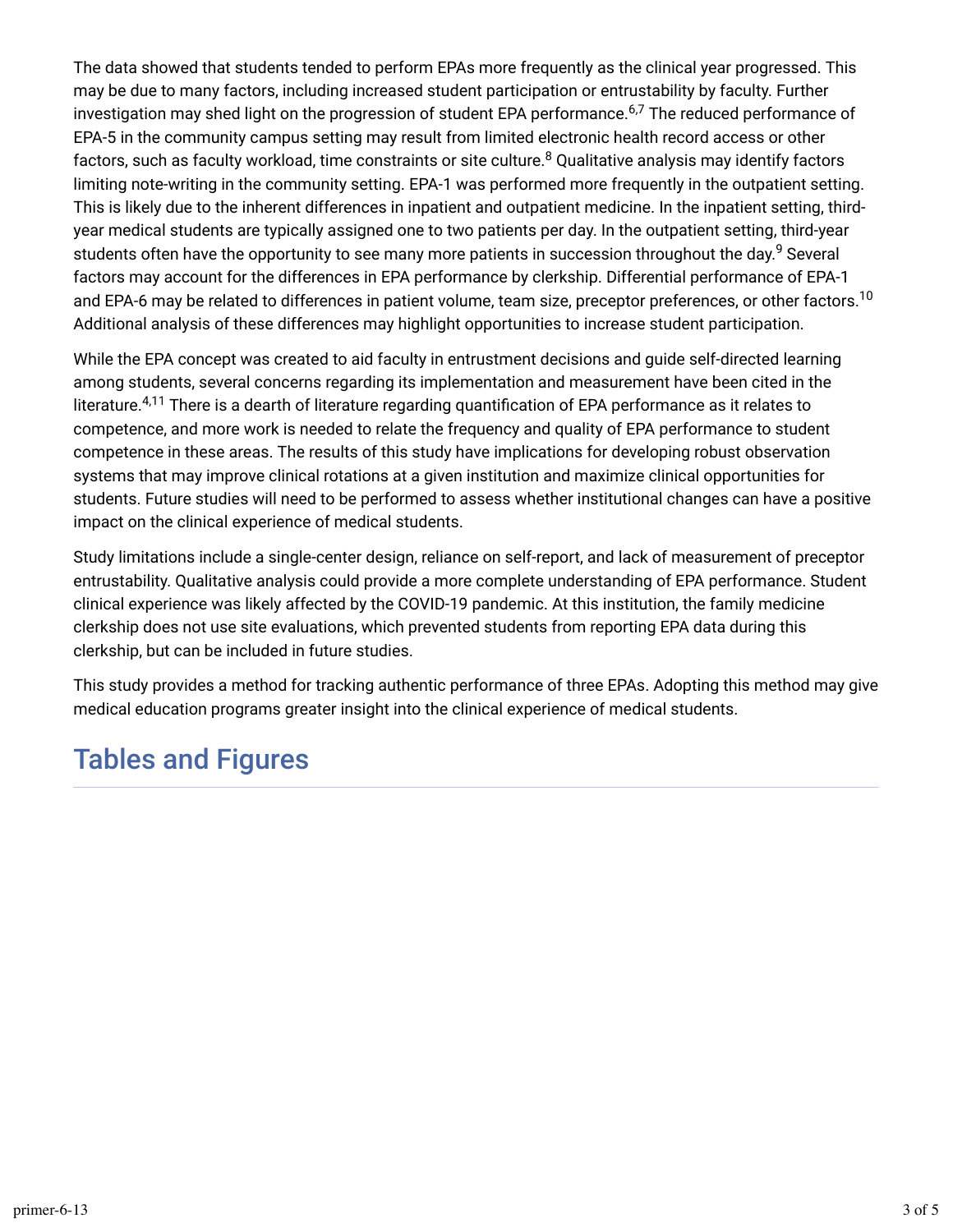The data showed that students tended to perform EPAs more frequently as the clinical year progressed. This may be due to many factors, including increased student participation or entrustability by faculty. Further investigation may shed light on the progression of student EPA performance.<sup>6,7</sup> The reduced performance of EPA-5 in the community campus setting may result from limited electronic health record access or other factors, such as faculty workload, time constraints or site culture.<sup>8</sup> Qualitative analysis may identify factors limiting note-writing in the community setting. EPA-1 was performed more frequently in the outpatient setting. This is likely due to the inherent differences in inpatient and outpatient medicine. In the inpatient setting, thirdyear medical students are typically assigned one to two patients per day. In the outpatient setting, third-year students often have the opportunity to see many more patients in succession throughout the day.<sup>9</sup> Several factors may account for the differences in EPA performance by clerkship. Differential performance of EPA-1 and EPA-6 may be related to differences in patient volume, team size, preceptor preferences, or other factors.<sup>10</sup> Additional analysis of these differences may highlight opportunities to increase student participation.

While the EPA concept was created to aid faculty in entrustment decisions and guide self-directed learning among students, several concerns regarding its implementation and measurement have been cited in the literature. $^{4,11}$  There is a dearth of literature regarding quantification of EPA performance as it relates to competence, and more work is needed to relate the frequency and quality of EPA performance to student competence in these areas. The results of this study have implications for developing robust observation systems that may improve clinical rotations at a given institution and maximize clinical opportunities for students. Future studies will need to be performed to assess whether institutional changes can have a positive impact on the clinical experience of medical students.

Study limitations include a single-center design, reliance on self-report, and lack of measurement of preceptor entrustability. Qualitative analysis could provide a more complete understanding of EPA performance. Student clinical experience was likely affected by the COVID-19 pandemic. At this institution, the family medicine clerkship does not use site evaluations, which prevented students from reporting EPA data during this clerkship, but can be included in future studies.

This study provides a method for tracking authentic performance of three EPAs. Adopting this method may give medical education programs greater insight into the clinical experience of medical students.

### Tables and Figures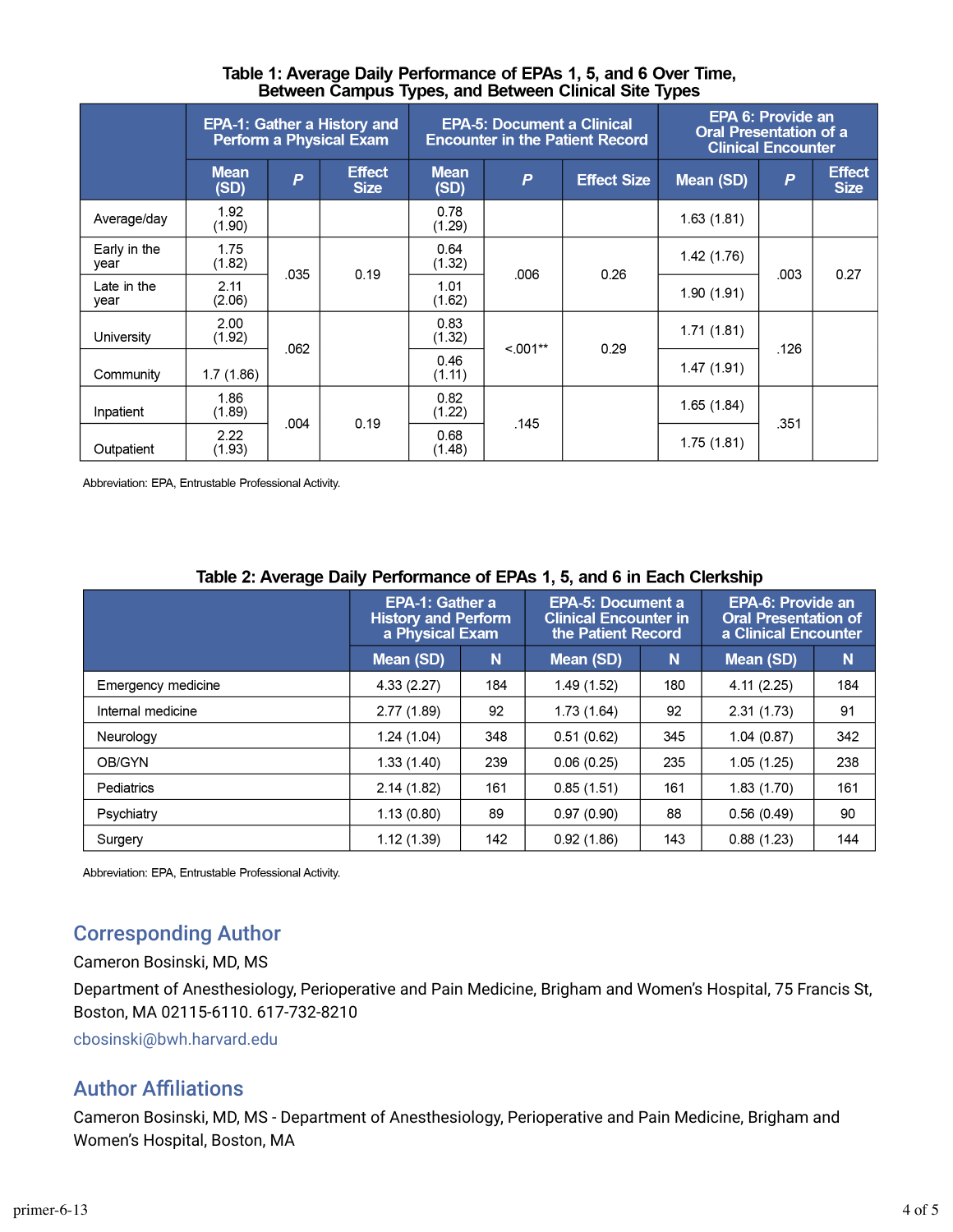#### Table 1: Average Daily Performance of EPAs 1, 5, and 6 Over Time, Between Campus Types, and Between Clinical Site Types

|                      | <b>EPA-1: Gather a History and</b><br><b>Perform a Physical Exam</b> |                |                              |                     | <b>EPA-5: Document a Clinical</b> | <b>Encounter in the Patient Record</b> | <b>EPA 6: Provide an</b><br><b>Oral Presentation of a</b><br><b>Clinical Encounter</b> |                |                              |
|----------------------|----------------------------------------------------------------------|----------------|------------------------------|---------------------|-----------------------------------|----------------------------------------|----------------------------------------------------------------------------------------|----------------|------------------------------|
|                      | <b>Mean</b><br>(SD)                                                  | $\overline{P}$ | <b>Effect</b><br><b>Size</b> | <b>Mean</b><br>(SD) | $\boldsymbol{P}$                  | <b>Effect Size</b>                     | Mean (SD)                                                                              | $\overline{P}$ | <b>Effect</b><br><b>Size</b> |
| Average/day          | 1.92<br>(1.90)                                                       |                |                              | 0.78<br>(1.29)      |                                   |                                        | 1.63(1.81)                                                                             |                |                              |
| Early in the<br>year | 1.75<br>(1.82)                                                       |                | 0.19                         | 0.64<br>(1.32)      | .006                              | 0.26                                   | 1.42(1.76)                                                                             | .003           | 0.27                         |
| Late in the<br>year  | 2.11<br>(2.06)                                                       | .035           |                              | 1.01<br>(1.62)      |                                   |                                        | 1.90(1.91)                                                                             |                |                              |
| University           | 2.00<br>(1.92)                                                       | .062           |                              | 0.83<br>(1.32)      | $< 001**$                         | 0.29                                   | 1.71(1.81)                                                                             | .126           |                              |
| Community            | 1.7(1.86)                                                            |                |                              | 0.46<br>(1.11)      |                                   |                                        | 1.47(1.91)                                                                             |                |                              |
| Inpatient            | 1.86<br>(1.89)                                                       | .004           | 0.19                         | 0.82<br>(1.22)      | .145                              |                                        | 1.65(1.84)                                                                             | .351           |                              |
| Outpatient           | 2.22<br>(1.93)                                                       |                |                              | 0.68<br>(1.48)      |                                   |                                        | 1.75(1.81)                                                                             |                |                              |

Abbreviation: EPA, Entrustable Professional Activity.

| $1.4819$ and $2.111911$ and $3.11111$ and $3.1111$ and $3.1111$ and $3.1111$ and $3.1111$ and $3.1111$ and $3.1111$ |                                                                  |     |                                                                                |     |                                                                                 |     |  |  |  |  |  |  |  |
|---------------------------------------------------------------------------------------------------------------------|------------------------------------------------------------------|-----|--------------------------------------------------------------------------------|-----|---------------------------------------------------------------------------------|-----|--|--|--|--|--|--|--|
|                                                                                                                     | EPA-1: Gather a<br><b>History and Perform</b><br>a Physical Exam |     | <b>EPA-5: Document a</b><br><b>Clinical Encounter in</b><br>the Patient Record |     | <b>EPA-6: Provide an</b><br><b>Oral Presentation of</b><br>a Clinical Encounter |     |  |  |  |  |  |  |  |
|                                                                                                                     | Mean (SD)                                                        | N   | Mean (SD)                                                                      | N   | Mean (SD)                                                                       | N   |  |  |  |  |  |  |  |
| Emergency medicine                                                                                                  | 4.33(2.27)                                                       | 184 | 1.49(1.52)                                                                     | 180 | 4.11(2.25)                                                                      | 184 |  |  |  |  |  |  |  |
| Internal medicine                                                                                                   | 2.77(1.89)                                                       | 92  | 1.73(1.64)                                                                     | 92  | 2.31(1.73)                                                                      | 91  |  |  |  |  |  |  |  |
| Neurology                                                                                                           | 1.24(1.04)                                                       | 348 | 0.51(0.62)                                                                     | 345 | 1.04(0.87)                                                                      | 342 |  |  |  |  |  |  |  |
| OB/GYN                                                                                                              | 1.33(1.40)                                                       | 239 | 0.06(0.25)                                                                     | 235 | 1.05(1.25)                                                                      | 238 |  |  |  |  |  |  |  |
| Pediatrics                                                                                                          | 2.14(1.82)                                                       | 161 | 0.85(1.51)                                                                     | 161 | 1.83(1.70)                                                                      | 161 |  |  |  |  |  |  |  |
| Psychiatry                                                                                                          | 1.13(0.80)                                                       | 89  | 0.97(0.90)                                                                     | 88  | 0.56(0.49)                                                                      | 90  |  |  |  |  |  |  |  |
| Surgery                                                                                                             | 1.12(1.39)                                                       | 142 | 0.92(1.86)                                                                     | 143 | 0.88(1.23)                                                                      | 144 |  |  |  |  |  |  |  |

#### Table 2: Average Daily Performance of EPAs 1, 5, and 6 in Each Clerkship

Abbreviation: EPA, Entrustable Professional Activity.

### Corresponding Author

Cameron Bosinski, MD, MS

Department of Anesthesiology, Perioperative and Pain Medicine, Brigham and Women's Hospital, 75 Francis St, Boston, MA 02115-6110. 617-732-8210

[cbosinski@bwh.harvard.edu](mailto:cbosinski@bwh.harvard.edu)

### **Author Affiliations**

Cameron Bosinski, MD, MS - Department of Anesthesiology, Perioperative and Pain Medicine, Brigham and Women's Hospital, Boston, MA